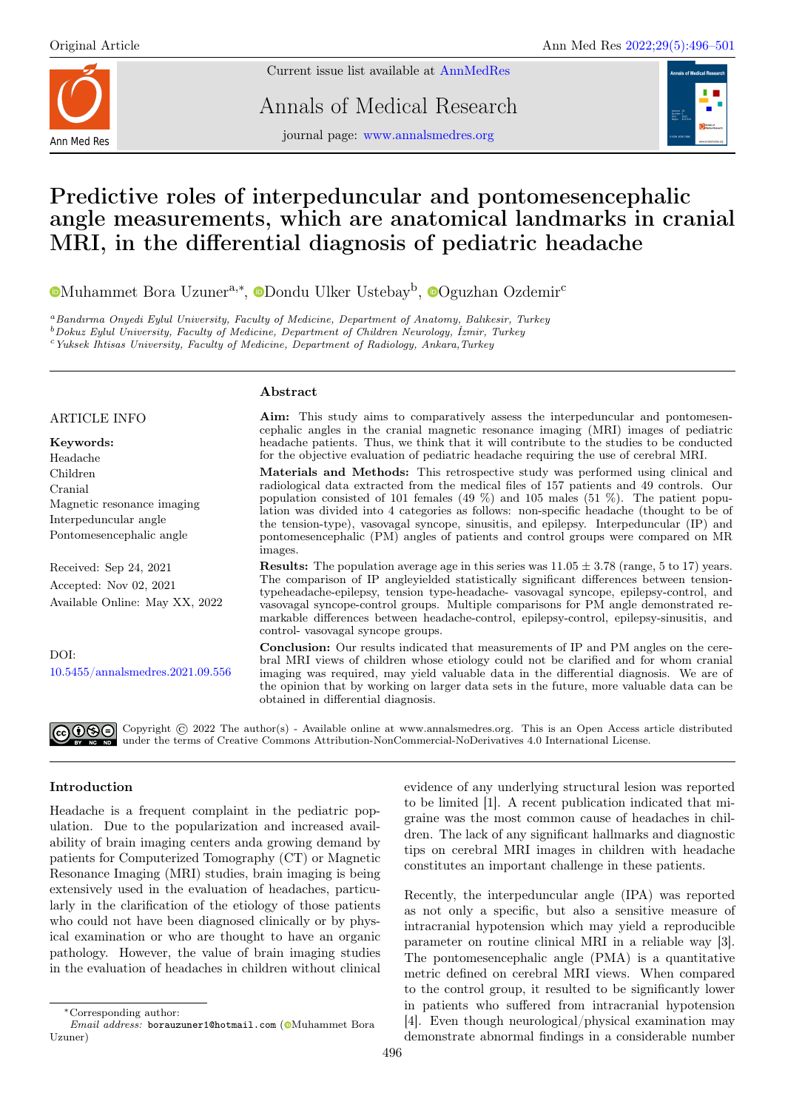Current issue list available at [AnnMedRes](https://annalsmedres.org/index.php/aomr/issue/view/163)



Annals of Medical Research

journal page: [www.annalsmedres.org](https://www.annalsmedres.org)



# Predictive roles of interpeduncular and pontomesencephalic angle measurements, which are anatomical landmarks in cranial MRI, in the differential diagnosis of pediatric headache

[M](https://orcid.org/0000-0001-6557-3086)uhammet Bora Uzuner<sup>a,∗</sup>, <sup>®</sup>[D](https://orcid.org/0000-0003-3270-8305)ondu Ulker Ustebay<sup>b</sup>, <sup>®</sup>[O](https://orcid.org/0000-0002-7679-1983)guzhan Ozdemir<sup>c</sup>

<sup>a</sup>Bandırma Onyedi Eylul University, Faculty of Medicine, Department of Anatomy, Balıkesir, Turkey

 $b$ Dokuz Eylul University, Faculty of Medicine, Department of Children Neurology, İzmir, Turkey

Abstract

 $c$ Yuksek Ihtisas University, Faculty of Medicine, Department of Radiology, Ankara,Turkey

# ARTICLE INFO

Keywords:

Headache Children Cranial Magnetic resonance imaging Interpeduncular angle Pontomesencephalic angle

Received: Sep 24, 2021 Accepted: Nov 02, 2021 Available Online: May XX, 2022

DOI: [10.5455/annalsmedres.2021.09.556](https://doi.org/10.5455/annalsmedres.2021.09.556)

Aim: This study aims to comparatively assess the interpeduncular and pontomesencephalic angles in the cranial magnetic resonance imaging (MRI) images of pediatric headache patients. Thus, we think that it will contribute to the studies to be conducted for the objective evaluation of pediatric headache requiring the use of cerebral MRI.

Materials and Methods: This retrospective study was performed using clinical and radiological data extracted from the medical files of 157 patients and 49 controls. Our population consisted of 101 females (49  $\%$ ) and 105 males (51  $\%$ ). The patient population was divided into 4 categories as follows: non-specific headache (thought to be of the tension-type), vasovagal syncope, sinusitis, and epilepsy. Interpeduncular (IP) and pontomesencephalic (PM) angles of patients and control groups were compared on MR images.

**Results:** The population average age in this series was  $11.05 \pm 3.78$  (range, 5 to 17) years. The comparison of IP angleyielded statistically significant differences between tensiontypeheadache-epilepsy, tension type-headache- vasovagal syncope, epilepsy-control, and vasovagal syncope-control groups. Multiple comparisons for PM angle demonstrated remarkable differences between headache-control, epilepsy-control, epilepsy-sinusitis, and control- vasovagal syncope groups.

Conclusion: Our results indicated that measurements of IP and PM angles on the cerebral MRI views of children whose etiology could not be clarified and for whom cranial imaging was required, may yield valuable data in the differential diagnosis. We are of the opinion that by working on larger data sets in the future, more valuable data can be obtained in differential diagnosis.

Copyright © 2022 The author(s) - Available online at www.annalsmedres.org. This is an Open Access article distributed under the terms of Creative Commons Attribution-NonCommercial-NoDerivatives 4.0 International License.

## Introduction

Headache is a frequent complaint in the pediatric population. Due to the popularization and increased availability of brain imaging centers anda growing demand by patients for Computerized Tomography (CT) or Magnetic Resonance Imaging (MRI) studies, brain imaging is being extensively used in the evaluation of headaches, particularly in the clarification of the etiology of those patients who could not have been diagnosed clinically or by physical examination or who are thought to have an organic pathology. However, the value of brain imaging studies in the evaluation of headaches in children without clinical

evidence of any underlying structural lesion was reported to be limited [1]. A recent publication indicated that migraine was the most common cause of headaches in children. The lack of any significant hallmarks and diagnostic tips on cerebral MRI images in children with headache constitutes an important challenge in these patients.

Recently, the interpeduncular angle (IPA) was reported as not only a specific, but also a sensitive measure of intracranial hypotension which may yield a reproducible parameter on routine clinical MRI in a reliable way [3]. The pontomesencephalic angle (PMA) is a quantitative metric defined on cerebral MRI views. When compared to the control group, it resulted to be significantly lower in patients who suffered from intracranial hypotension [4]. Even though neurological/physical examination may demonstrate abnormal findings in a considerable number

<sup>∗</sup>Corresponding author:

Email address: borauzuner1@hotmail.com ( [M](https://orcid.org/0000-0001-6557-3086)uhammet Bora Uzuner)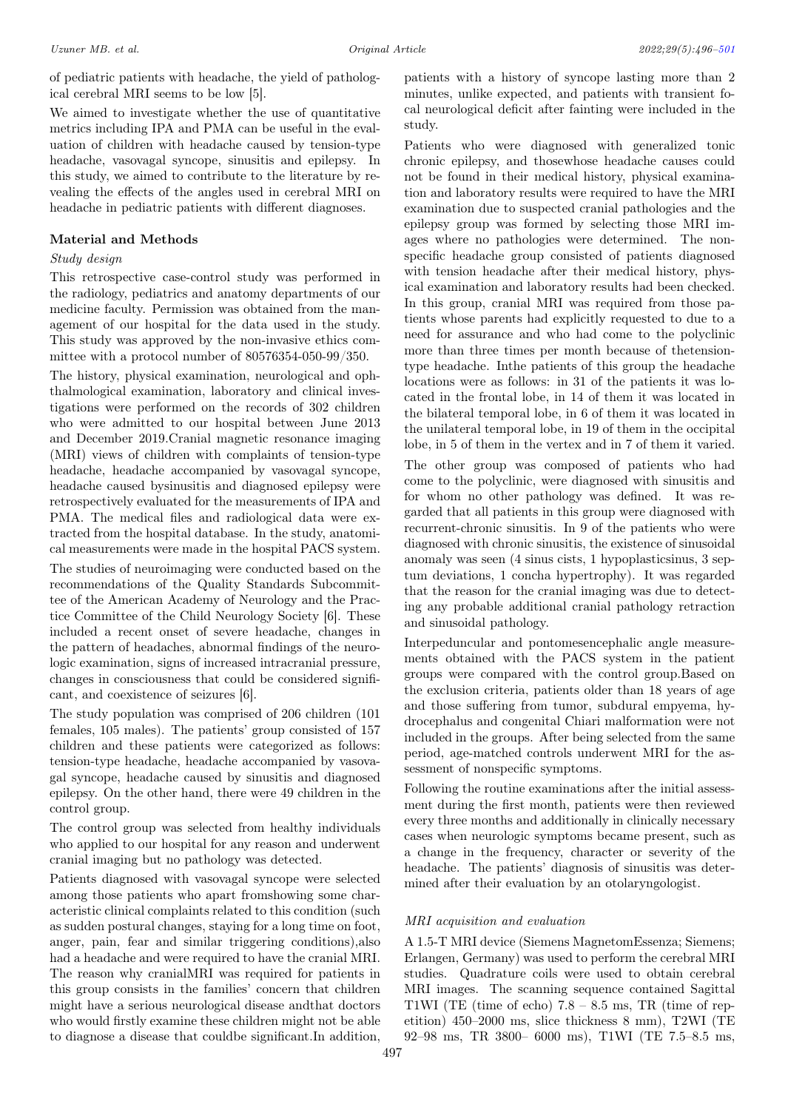of pediatric patients with headache, the yield of pathological cerebral MRI seems to be low [5].

We aimed to investigate whether the use of quantitative metrics including IPA and PMA can be useful in the evaluation of children with headache caused by tension-type headache, vasovagal syncope, sinusitis and epilepsy. In this study, we aimed to contribute to the literature by revealing the effects of the angles used in cerebral MRI on headache in pediatric patients with different diagnoses.

## Material and Methods

## Study design

This retrospective case-control study was performed in the radiology, pediatrics and anatomy departments of our medicine faculty. Permission was obtained from the management of our hospital for the data used in the study. This study was approved by the non-invasive ethics committee with a protocol number of 80576354-050-99/350.

The history, physical examination, neurological and ophthalmological examination, laboratory and clinical investigations were performed on the records of 302 children who were admitted to our hospital between June 2013 and December 2019.Cranial magnetic resonance imaging (MRI) views of children with complaints of tension-type headache, headache accompanied by vasovagal syncope, headache caused bysinusitis and diagnosed epilepsy were retrospectively evaluated for the measurements of IPA and PMA. The medical files and radiological data were extracted from the hospital database. In the study, anatomical measurements were made in the hospital PACS system.

The studies of neuroimaging were conducted based on the recommendations of the Quality Standards Subcommittee of the American Academy of Neurology and the Practice Committee of the Child Neurology Society [6]. These included a recent onset of severe headache, changes in the pattern of headaches, abnormal findings of the neurologic examination, signs of increased intracranial pressure, changes in consciousness that could be considered significant, and coexistence of seizures [6].

The study population was comprised of 206 children (101 females, 105 males). The patients' group consisted of 157 children and these patients were categorized as follows: tension-type headache, headache accompanied by vasovagal syncope, headache caused by sinusitis and diagnosed epilepsy. On the other hand, there were 49 children in the control group.

The control group was selected from healthy individuals who applied to our hospital for any reason and underwent cranial imaging but no pathology was detected.

Patients diagnosed with vasovagal syncope were selected among those patients who apart fromshowing some characteristic clinical complaints related to this condition (such as sudden postural changes, staying for a long time on foot, anger, pain, fear and similar triggering conditions),also had a headache and were required to have the cranial MRI. The reason why cranialMRI was required for patients in this group consists in the families' concern that children might have a serious neurological disease andthat doctors who would firstly examine these children might not be able to diagnose a disease that couldbe significant.In addition,

patients with a history of syncope lasting more than 2 minutes, unlike expected, and patients with transient focal neurological deficit after fainting were included in the study.

Patients who were diagnosed with generalized tonic chronic epilepsy, and thosewhose headache causes could not be found in their medical history, physical examination and laboratory results were required to have the MRI examination due to suspected cranial pathologies and the epilepsy group was formed by selecting those MRI images where no pathologies were determined. The nonspecific headache group consisted of patients diagnosed with tension headache after their medical history, physical examination and laboratory results had been checked. In this group, cranial MRI was required from those patients whose parents had explicitly requested to due to a need for assurance and who had come to the polyclinic more than three times per month because of thetensiontype headache. Inthe patients of this group the headache locations were as follows: in 31 of the patients it was located in the frontal lobe, in 14 of them it was located in the bilateral temporal lobe, in 6 of them it was located in the unilateral temporal lobe, in 19 of them in the occipital lobe, in 5 of them in the vertex and in 7 of them it varied.

The other group was composed of patients who had come to the polyclinic, were diagnosed with sinusitis and for whom no other pathology was defined. It was regarded that all patients in this group were diagnosed with recurrent-chronic sinusitis. In 9 of the patients who were diagnosed with chronic sinusitis, the existence of sinusoidal anomaly was seen (4 sinus cists, 1 hypoplasticsinus, 3 septum deviations, 1 concha hypertrophy). It was regarded that the reason for the cranial imaging was due to detecting any probable additional cranial pathology retraction and sinusoidal pathology.

Interpeduncular and pontomesencephalic angle measurements obtained with the PACS system in the patient groups were compared with the control group.Based on the exclusion criteria, patients older than 18 years of age and those suffering from tumor, subdural empyema, hydrocephalus and congenital Chiari malformation were not included in the groups. After being selected from the same period, age-matched controls underwent MRI for the assessment of nonspecific symptoms.

Following the routine examinations after the initial assessment during the first month, patients were then reviewed every three months and additionally in clinically necessary cases when neurologic symptoms became present, such as a change in the frequency, character or severity of the headache. The patients' diagnosis of sinusitis was determined after their evaluation by an otolaryngologist.

#### MRI acquisition and evaluation

A 1.5-T MRI device (Siemens MagnetomEssenza; Siemens; Erlangen, Germany) was used to perform the cerebral MRI studies. Quadrature coils were used to obtain cerebral MRI images. The scanning sequence contained Sagittal T1WI (TE (time of echo)  $7.8 - 8.5$  ms, TR (time of repetition) 450–2000 ms, slice thickness 8 mm), T2WI (TE 92–98 ms, TR 3800– 6000 ms), T1WI (TE 7.5–8.5 ms,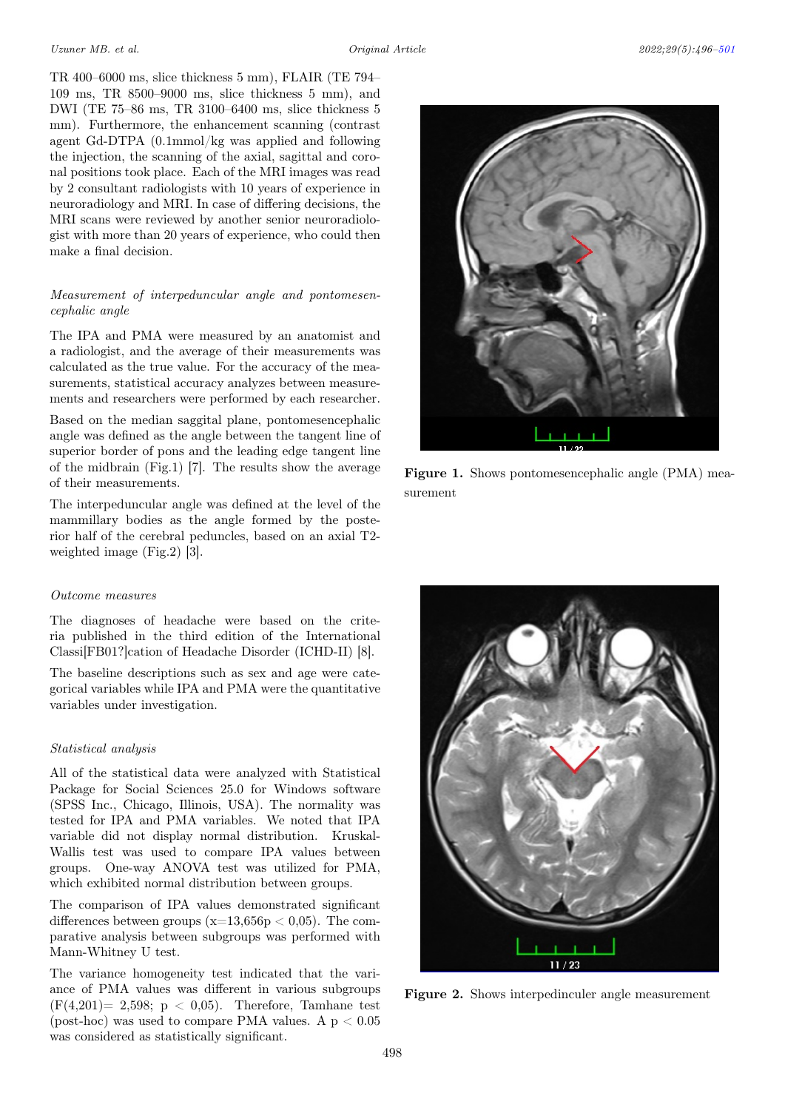TR 400–6000 ms, slice thickness 5 mm), FLAIR (TE 794– 109 ms, TR 8500–9000 ms, slice thickness 5 mm), and DWI (TE 75–86 ms, TR 3100–6400 ms, slice thickness 5 mm). Furthermore, the enhancement scanning (contrast agent Gd-DTPA (0.1mmol/kg was applied and following the injection, the scanning of the axial, sagittal and coronal positions took place. Each of the MRI images was read by 2 consultant radiologists with 10 years of experience in neuroradiology and MRI. In case of differing decisions, the MRI scans were reviewed by another senior neuroradiologist with more than 20 years of experience, who could then make a final decision.

# Measurement of interpeduncular angle and pontomesencephalic angle

The IPA and PMA were measured by an anatomist and a radiologist, and the average of their measurements was calculated as the true value. For the accuracy of the measurements, statistical accuracy analyzes between measurements and researchers were performed by each researcher.

Based on the median saggital plane, pontomesencephalic angle was defined as the angle between the tangent line of superior border of pons and the leading edge tangent line of the midbrain (Fig.1) [7]. The results show the average of their measurements.

The interpeduncular angle was defined at the level of the mammillary bodies as the angle formed by the posterior half of the cerebral peduncles, based on an axial T2 weighted image (Fig.2) [3].

#### Outcome measures

The diagnoses of headache were based on the criteria published in the third edition of the International Classi[FB01?]cation of Headache Disorder (ICHD-II) [8].

The baseline descriptions such as sex and age were categorical variables while IPA and PMA were the quantitative variables under investigation.

### Statistical analysis

All of the statistical data were analyzed with Statistical Package for Social Sciences 25.0 for Windows software (SPSS Inc., Chicago, Illinois, USA). The normality was tested for IPA and PMA variables. We noted that IPA variable did not display normal distribution. Kruskal-Wallis test was used to compare IPA values between groups. One-way ANOVA test was utilized for PMA, which exhibited normal distribution between groups.

The comparison of IPA values demonstrated significant differences between groups  $(x=13.656p < 0.05)$ . The comparative analysis between subgroups was performed with Mann-Whitney U test.

The variance homogeneity test indicated that the variance of PMA values was different in various subgroups  $(F(4,201)= 2,598; p < 0,05)$ . Therefore, Tamhane test (post-hoc) was used to compare PMA values. A  $p < 0.05$ was considered as statistically significant.



Figure 1. Shows pontomes encephalic angle (PMA) measurement



Figure 2. Shows interpedinculer angle measurement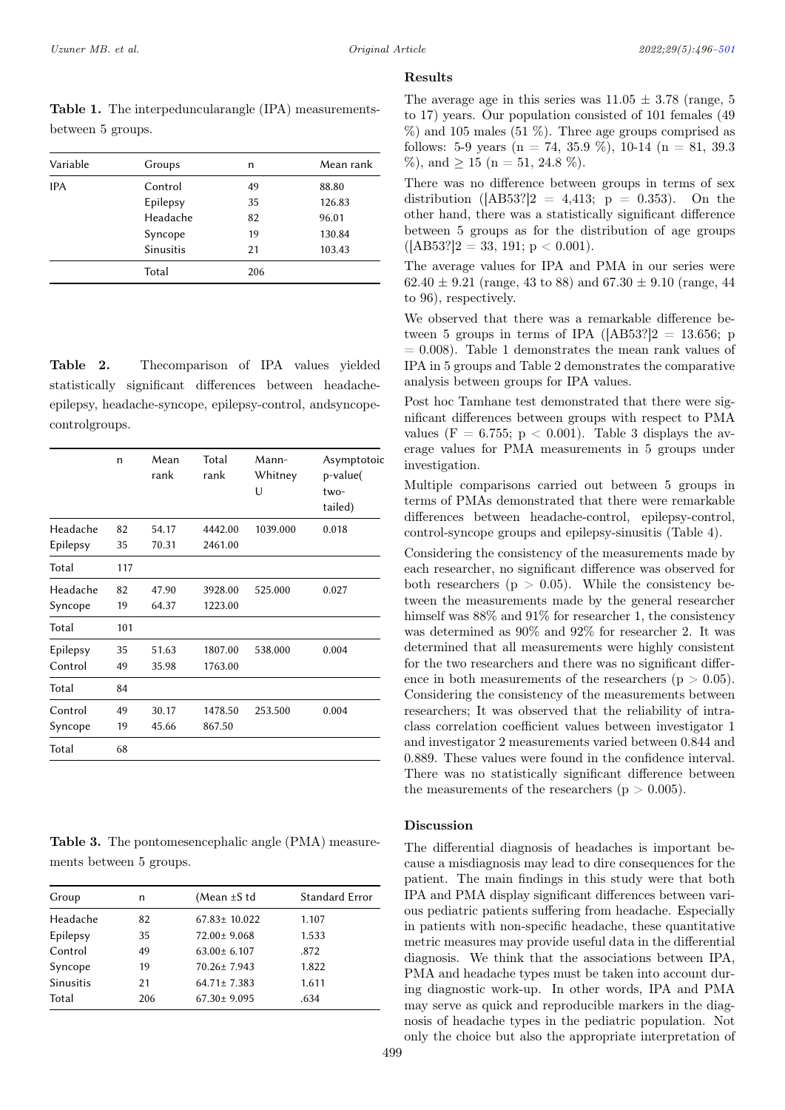Table 1. The interpeduncularangle (IPA) measurementsbetween 5 groups.

| Variable   | Groups           | n   | Mean rank |
|------------|------------------|-----|-----------|
| <b>IPA</b> | Control          | 49  | 88.80     |
|            | Epilepsy         | 35  | 126.83    |
|            | Headache         | 82  | 96.01     |
|            | Syncope          | 19  | 130.84    |
|            | <b>Sinusitis</b> | 21  | 103.43    |
|            | Total            | 206 |           |

Table 2. Thecomparison of IPA values yielded statistically significant differences between headacheepilepsy, headache-syncope, epilepsy-control, andsyncopecontrolgroups.

|          | n   | Mean<br>rank | Total<br>rank | Mann-<br>Whitney<br>U | Asymptotoic<br>p-value(<br>two-<br>tailed) |
|----------|-----|--------------|---------------|-----------------------|--------------------------------------------|
| Headache | 82  | 54.17        | 4442.00       | 1039.000              | 0.018                                      |
| Epilepsy | 35  | 70.31        | 2461.00       |                       |                                            |
| Total    | 117 |              |               |                       |                                            |
| Headache | 82  | 47.90        | 3928.00       | 525.000               | 0.027                                      |
| Syncope  | 19  | 64.37        | 1223.00       |                       |                                            |
| Total    | 101 |              |               |                       |                                            |
| Epilepsy | 35  | 51.63        | 1807.00       | 538.000               | 0.004                                      |
| Control  | 49  | 35.98        | 1763.00       |                       |                                            |
| Total    | 84  |              |               |                       |                                            |
| Control  | 49  | 30.17        | 1478.50       | 253.500               | 0.004                                      |
| Syncope  | 19  | 45.66        | 867.50        |                       |                                            |
| Total    | 68  |              |               |                       |                                            |

Table 3. The pontomesencephalic angle (PMA) measurements between 5 groups.

| Group            | n   | (Mean $\pm$ S td   | <b>Standard Error</b> |
|------------------|-----|--------------------|-----------------------|
| Headache         | 82  | $67.83 \pm 10.022$ | 1.107                 |
| Epilepsy         | 35  | $72.00 \pm 9.068$  | 1.533                 |
| Control          | 49  | $63.00 \pm 6.107$  | .872                  |
| Syncope          | 19  | $70.26 \pm 7.943$  | 1.822                 |
| <b>Sinusitis</b> | 21  | $64.71 \pm 7.383$  | 1.611                 |
| Total            | 206 | $67.30 \pm 9.095$  | .634                  |
|                  |     |                    |                       |

# Results

The average age in this series was  $11.05 \pm 3.78$  (range, 5) to 17) years. Our population consisted of 101 females (49  $\%$ ) and 105 males (51  $\%$ ). Three age groups comprised as follows: 5-9 years (n = 74, 35.9 %), 10-14 (n = 81, 39.3  $\%$ ), and  $> 15$  (n = 51, 24.8 %).

There was no difference between groups in terms of sex distribution ([AB53?] $2 = 4,413$ ; p = 0.353). On the other hand, there was a statistically significant difference between 5 groups as for the distribution of age groups  $([AB53?]2 = 33, 191; p < 0.001).$ 

The average values for IPA and PMA in our series were  $62.40 \pm 9.21$  (range, 43 to 88) and  $67.30 \pm 9.10$  (range, 44 to 96), respectively.

We observed that there was a remarkable difference between 5 groups in terms of IPA ( $[AB53?]2 = 13.656;$  p  $= 0.008$ . Table 1 demonstrates the mean rank values of IPA in 5 groups and Table 2 demonstrates the comparative analysis between groups for IPA values.

Post hoc Tamhane test demonstrated that there were significant differences between groups with respect to PMA values (F = 6.755;  $p < 0.001$ ). Table 3 displays the average values for PMA measurements in 5 groups under investigation.

Multiple comparisons carried out between 5 groups in terms of PMAs demonstrated that there were remarkable differences between headache-control, epilepsy-control, control-syncope groups and epilepsy-sinusitis (Table 4).

Considering the consistency of the measurements made by each researcher, no significant difference was observed for both researchers ( $p > 0.05$ ). While the consistency between the measurements made by the general researcher himself was  $88\%$  and  $91\%$  for researcher 1, the consistency was determined as 90% and 92% for researcher 2. It was determined that all measurements were highly consistent for the two researchers and there was no significant difference in both measurements of the researchers ( $p > 0.05$ ). Considering the consistency of the measurements between researchers; It was observed that the reliability of intraclass correlation coefficient values between investigator 1 and investigator 2 measurements varied between 0.844 and 0.889. These values were found in the confidence interval. There was no statistically significant difference between the measurements of the researchers ( $p > 0.005$ ).

## Discussion

The differential diagnosis of headaches is important because a misdiagnosis may lead to dire consequences for the patient. The main findings in this study were that both IPA and PMA display significant differences between various pediatric patients suffering from headache. Especially in patients with non-specific headache, these quantitative metric measures may provide useful data in the differential diagnosis. We think that the associations between IPA, PMA and headache types must be taken into account during diagnostic work-up. In other words, IPA and PMA may serve as quick and reproducible markers in the diagnosis of headache types in the pediatric population. Not only the choice but also the appropriate interpretation of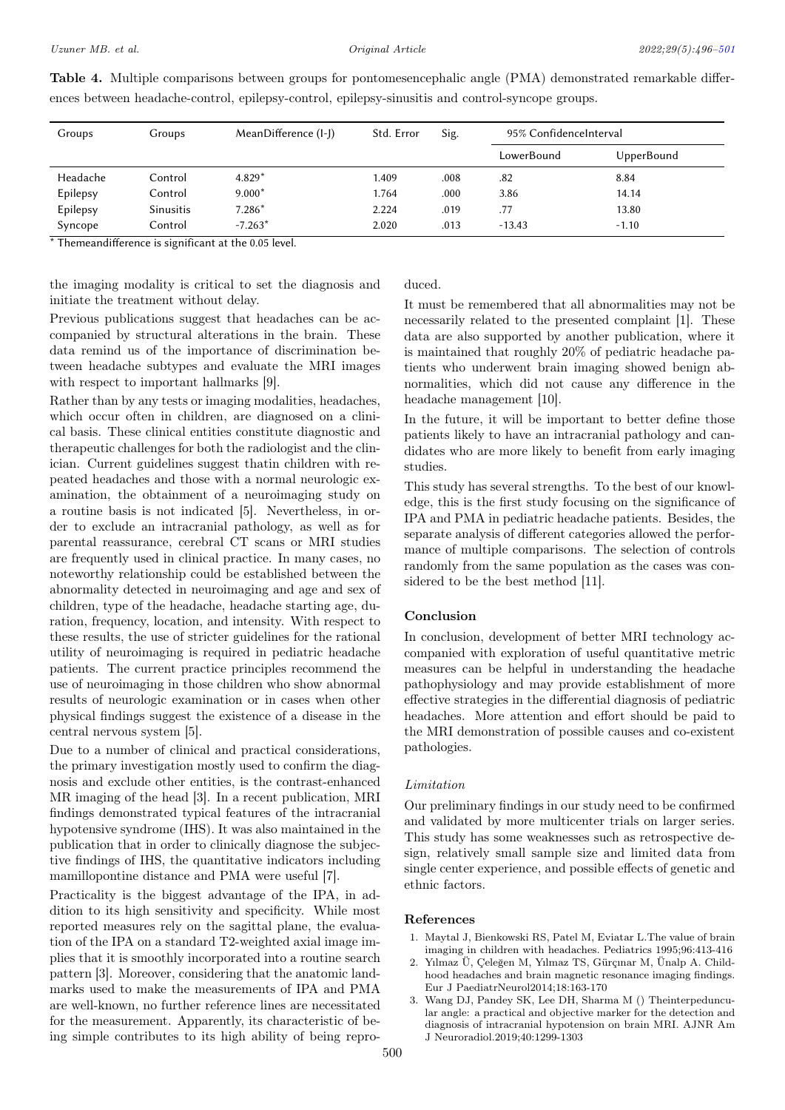<span id="page-4-0"></span>

| Groups   | Groups           | MeanDifference (I-J) | Std. Error | Sig. | 95% ConfidenceInterval |            |
|----------|------------------|----------------------|------------|------|------------------------|------------|
|          |                  |                      |            |      | LowerBound             | UpperBound |
| Headache | Control          | $4.829*$             | 1.409      | .008 | .82                    | 8.84       |
| Epilepsy | Control          | $9.000*$             | 1.764      | .000 | 3.86                   | 14.14      |
| Epilepsy | <b>Sinusitis</b> | $7.286*$             | 2.224      | .019 | .77                    | 13.80      |
| Syncope  | Control          | $-7.263*$            | 2.020      | .013 | $-13.43$               | $-1.10$    |

Table 4. Multiple comparisons between groups for pontomesencephalic angle (PMA) demonstrated remarkable differences between headache-control, epilepsy-control, epilepsy-sinusitis and control-syncope groups.

\* Themeandifference is significant at the 0.05 level.

the imaging modality is critical to set the diagnosis and initiate the treatment without delay.

Previous publications suggest that headaches can be accompanied by structural alterations in the brain. These data remind us of the importance of discrimination between headache subtypes and evaluate the MRI images with respect to important hallmarks [9].

Rather than by any tests or imaging modalities, headaches, which occur often in children, are diagnosed on a clinical basis. These clinical entities constitute diagnostic and therapeutic challenges for both the radiologist and the clinician. Current guidelines suggest thatin children with repeated headaches and those with a normal neurologic examination, the obtainment of a neuroimaging study on a routine basis is not indicated [5]. Nevertheless, in order to exclude an intracranial pathology, as well as for parental reassurance, cerebral CT scans or MRI studies are frequently used in clinical practice. In many cases, no noteworthy relationship could be established between the abnormality detected in neuroimaging and age and sex of children, type of the headache, headache starting age, duration, frequency, location, and intensity. With respect to these results, the use of stricter guidelines for the rational utility of neuroimaging is required in pediatric headache patients. The current practice principles recommend the use of neuroimaging in those children who show abnormal results of neurologic examination or in cases when other physical findings suggest the existence of a disease in the central nervous system [5].

Due to a number of clinical and practical considerations, the primary investigation mostly used to confirm the diagnosis and exclude other entities, is the contrast-enhanced MR imaging of the head [3]. In a recent publication, MRI findings demonstrated typical features of the intracranial hypotensive syndrome (IHS). It was also maintained in the publication that in order to clinically diagnose the subjective findings of IHS, the quantitative indicators including mamillopontine distance and PMA were useful [7].

Practicality is the biggest advantage of the IPA, in addition to its high sensitivity and specificity. While most reported measures rely on the sagittal plane, the evaluation of the IPA on a standard T2-weighted axial image implies that it is smoothly incorporated into a routine search pattern [3]. Moreover, considering that the anatomic landmarks used to make the measurements of IPA and PMA are well-known, no further reference lines are necessitated for the measurement. Apparently, its characteristic of being simple contributes to its high ability of being reproduced.

It must be remembered that all abnormalities may not be necessarily related to the presented complaint [1]. These data are also supported by another publication, where it is maintained that roughly 20% of pediatric headache patients who underwent brain imaging showed benign abnormalities, which did not cause any difference in the headache management [10].

In the future, it will be important to better define those patients likely to have an intracranial pathology and candidates who are more likely to benefit from early imaging studies.

This study has several strengths. To the best of our knowledge, this is the first study focusing on the significance of IPA and PMA in pediatric headache patients. Besides, the separate analysis of different categories allowed the performance of multiple comparisons. The selection of controls randomly from the same population as the cases was considered to be the best method [11].

## Conclusion

In conclusion, development of better MRI technology accompanied with exploration of useful quantitative metric measures can be helpful in understanding the headache pathophysiology and may provide establishment of more effective strategies in the differential diagnosis of pediatric headaches. More attention and effort should be paid to the MRI demonstration of possible causes and co-existent pathologies.

# Limitation

Our preliminary findings in our study need to be confirmed and validated by more multicenter trials on larger series. This study has some weaknesses such as retrospective design, relatively small sample size and limited data from single center experience, and possible effects of genetic and ethnic factors.

#### References

- 1. Maytal J, Bienkowski RS, Patel M, Eviatar L.The value of brain imaging in children with headaches. Pediatrics 1995;96:413-416
- 2. Yılmaz Ü, Çeleğen M, Yılmaz TS, Gürçınar M, Ünalp A. Childhood headaches and brain magnetic resonance imaging findings. Eur J PaediatrNeurol2014;18:163-170
- 3. Wang DJ, Pandey SK, Lee DH, Sharma M () Theinterpeduncular angle: a practical and objective marker for the detection and diagnosis of intracranial hypotension on brain MRI. AJNR Am J Neuroradiol.2019;40:1299-1303